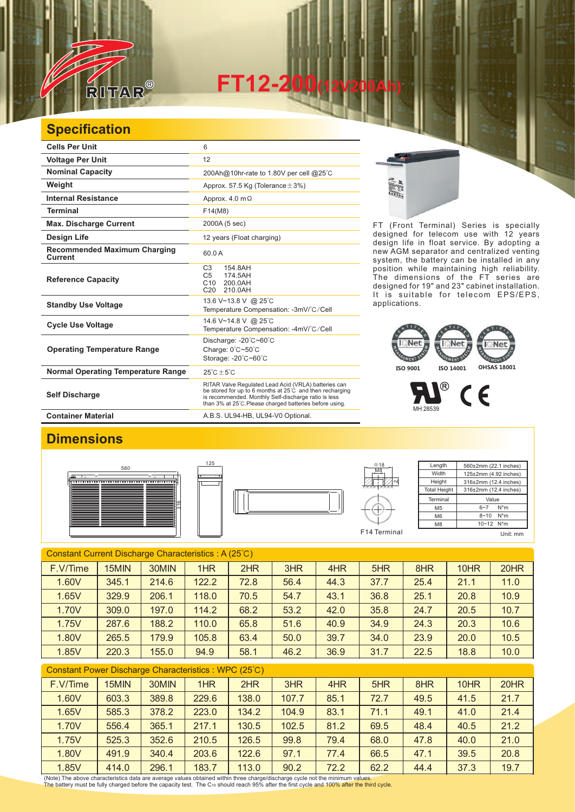

**FT12-200(12V200Ah)** 

## **Specification**

| <b>Cells Per Unit</b>                                 | 6                                                                                                                                                                                                                                   |
|-------------------------------------------------------|-------------------------------------------------------------------------------------------------------------------------------------------------------------------------------------------------------------------------------------|
| <b>Voltage Per Unit</b>                               | 12                                                                                                                                                                                                                                  |
| <b>Nominal Capacity</b>                               | 200Ah@10hr-rate to 1.80V per cell @25°C                                                                                                                                                                                             |
| Weight                                                | Approx. 57.5 Kg (Tolerance $\pm$ 3%)                                                                                                                                                                                                |
| <b>Internal Resistance</b>                            | Approx. $4.0 \text{ m}\Omega$                                                                                                                                                                                                       |
| <b>Terminal</b>                                       | F14(M8)                                                                                                                                                                                                                             |
| <b>Max. Discharge Current</b>                         | 2000A (5 sec)                                                                                                                                                                                                                       |
| Design Life                                           | 12 years (Float charging)                                                                                                                                                                                                           |
| <b>Recommended Maximum Charging</b><br><b>Current</b> | 60.0A                                                                                                                                                                                                                               |
| <b>Reference Capacity</b>                             | C <sub>3</sub><br>154.8AH<br>C <sub>5</sub><br>174.5AH<br>C <sub>10</sub><br>200.0AH<br>C <sub>20</sub><br>210.0AH                                                                                                                  |
| <b>Standby Use Voltage</b>                            | 13.6 V~13.8 V @ 25°C<br>Temperature Compensation: -3mV/°C/Cell                                                                                                                                                                      |
| <b>Cycle Use Voltage</b>                              | 14.6 V~14.8 V @ 25°C<br>Temperature Compensation: -4mV/°C/Cell                                                                                                                                                                      |
| <b>Operating Temperature Range</b>                    | Discharge: -20°C~60°C<br>Charge: 0°C~50°C<br>Storage: -20°C~60°C                                                                                                                                                                    |
| <b>Normal Operating Temperature Range</b>             | $25^{\circ}$ C $\pm 5^{\circ}$ C                                                                                                                                                                                                    |
| <b>Self Discharge</b>                                 | RITAR Valve Regulated Lead Acid (VRLA) batteries can<br>be stored for up to 6 months at 25°C and then recharging<br>is recommended. Monthly Self-discharge ratio is less<br>than 3% at 25°C. Please charged batteries before using. |
| <b>Container Material</b>                             | A.B.S. UL94-HB, UL94-V0 Optional.                                                                                                                                                                                                   |

125

FT (Front Terminal) Series is specially designed for telecom use with 12 years design life in float service. By adopting a new AGM separator and centralized venting system, the battery can be installed in any position while maintaining high reliability. The dimensions of the FT series are designed for 19" and 23" cabinet installation. It is suitable for telecom EPS/EPS, applications.

## **ISO 9001 ISO 14001 OHSAS 18001**



## **Dimensions**







| $\Phi$ 18        | Length              | 560±2mm (22.1 inches)      |  |  |
|------------------|---------------------|----------------------------|--|--|
| M <sub>8</sub>   | Width               | 125±2mm (4.92 inches)      |  |  |
|                  | Height              | 316±2mm (12.4 inches)      |  |  |
| <b>xxxxxxxxx</b> | <b>Total Height</b> | 316±2mm (12.4 inches)      |  |  |
|                  | Terminal            | Value                      |  |  |
|                  | M <sub>5</sub>      | $N^*m$<br>$6 - 7$          |  |  |
|                  | M <sub>6</sub>      | $N^*m$<br>$8 - 10$         |  |  |
|                  | M <sub>8</sub>      | $10 - 12$ N <sup>*</sup> m |  |  |
| F14 Terminal     |                     | Unit: mm                   |  |  |

Constant Current Discharge Characteristics : A (25℃) F.V/Time | 15MIN | 30MIN | 1HR | 2HR | 3HR | 4HR | 5HR | 8HR | 10HR | 20HR 1.60V | 345.1 | 214.6 | 122.2 | 72.8 | 56.4 | 44.3 | 37.7 | 25.4 | 21.1 | 11.0 1.65V | 329.9 | 206.1 | 118.0 | 70.5 | 54.7 | 43.1 | 36.8 | 25.1 | 20.8 | 10.9 1.70V | 309.0 | 197.0 | 114.2 | 68.2 | 53.2 | 42.0 | 35.8 | 24.7 | 20.5 | 10.7 1.75V | 287.6 | 188.2 | 110.0 | 65.8 | 51.6 | 40.9 | 34.9 | 24.3 | 20.3 | 10.6 1.80V 265.5 179.9 105.8 63.4 50.0 39.7 34.0 23.9 20.0 10.5 1.85V | 220.3 | 155.0 | 94.9 | 58.1 | 46.2 | 36.9 | 31.7 | 22.5 | 18.8 | 10.0

| Constant Power Discharge Characteristics : WPC (25°C) |  |  |
|-------------------------------------------------------|--|--|
|-------------------------------------------------------|--|--|

| F.V/Time | 15MIN | 30MIN | 1HR   | 2HR   | 3HR   | 4HR  | 5HR  | 8HR  | 10HR | 20HR |
|----------|-------|-------|-------|-------|-------|------|------|------|------|------|
| 1.60V    | 603.3 | 389.8 | 229.6 | 138.0 | 107.7 | 85.1 | 72.7 | 49.5 | 41.5 | 21.7 |
| 1.65V    | 585.3 | 378.2 | 223.0 | 134.2 | 104.9 | 83.1 | 71.1 | 49.1 | 41.0 | 21.4 |
| 1.70V    | 556.4 | 365.1 | 217.1 | 130.5 | 102.5 | 81.2 | 69.5 | 48.4 | 40.5 | 21.2 |
| 1.75V    | 525.3 | 352.6 | 210.5 | 126.5 | 99.8  | 79.4 | 68.0 | 47.8 | 40.0 | 21.0 |
| 1.80V    | 491.9 | 340.4 | 203.6 | 122.6 | 97.1  | 77.4 | 66.5 | 47.1 | 39.5 | 20.8 |
| 1.85V    | 414.0 | 296.1 | 183.7 | 113.0 | 90.2  | 72.2 | 62.2 | 44.4 | 37.3 | 19.7 |

(Note) The above characteristics data are average values obtained within three charge/discharge cycle not the minimum values.<br>The battery must be fully charged before the capacity test. The Cю should reach 95% after the f